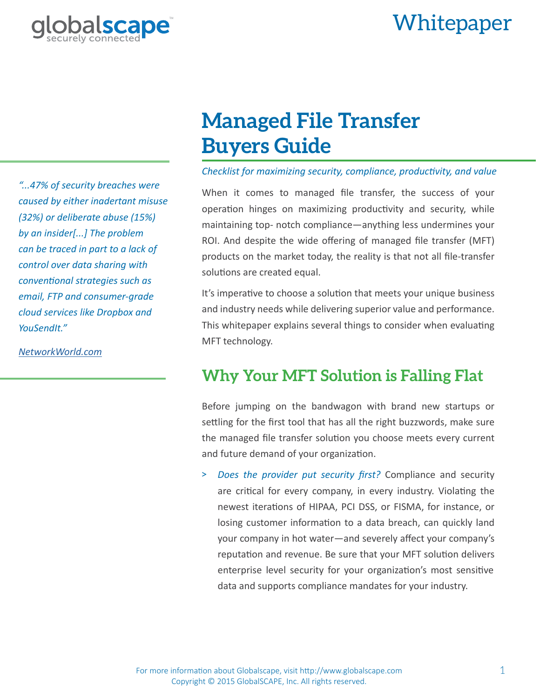## alscape Whitepaper



*"...47% of security breaches were caused by either inadertant misuse (32%) or deliberate abuse (15%) by an insider[...] The problem can be traced in part to a lack of control over data sharing with conventional strategies such as email, FTP and consumer-grade cloud services like Dropbox and YouSendIt."*

*[NetworkWorld.com](http://www.networkworld.com/article/2163478/tech-primers/combating-security-breaches-with-managed-file-transfer-technology.html)*

# **Managed File Transfer Buyers Guide**

#### *Checklist for maximizing security, compliance, productivity, and value*

When it comes to managed file transfer, the success of your operation hinges on maximizing productivity and security, while maintaining top- notch compliance—anything less undermines your ROI. And despite the wide offering of managed file transfer (MFT) products on the market today, the reality is that not all file-transfer solutions are created equal.

It's imperative to choose a solution that meets your unique business and industry needs while delivering superior value and performance. This whitepaper explains several things to consider when evaluating MFT technology.

### **Why Your MFT Solution is Falling Flat**

Before jumping on the bandwagon with brand new startups or settling for the first tool that has all the right buzzwords, make sure the managed file transfer solution you choose meets every current and future demand of your organization.

> *Does the provider put security first?* Compliance and security are critical for every company, in every industry. Violating the newest iterations of HIPAA, PCI DSS, or FISMA, for instance, or losing customer information to a data breach, can quickly land your company in hot water—and severely affect your company's reputation and revenue. Be sure that your MFT solution delivers enterprise level security for your organization's most sensitive data and supports compliance mandates for your industry.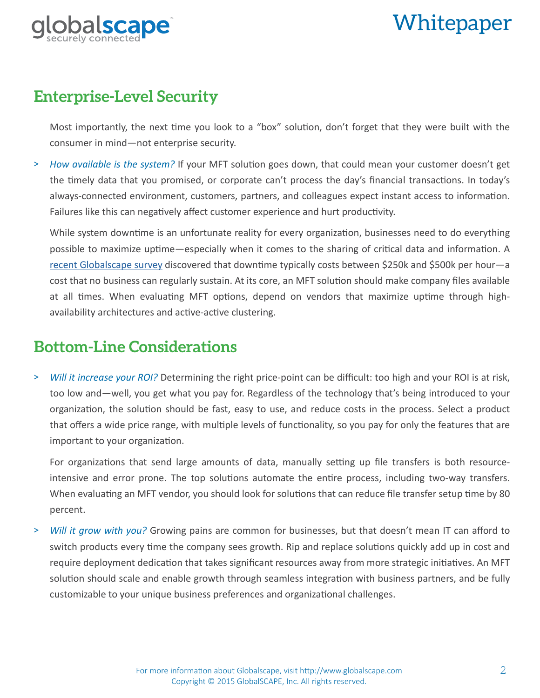

# Whitepaper

#### **Enterprise-Level Security**

Most importantly, the next time you look to a "box" solution, don't forget that they were built with the consumer in mind—not enterprise security.

> *How available is the system?* If your MFT solution goes down, that could mean your customer doesn't get the timely data that you promised, or corporate can't process the day's financial transactions. In today's always-connected environment, customers, partners, and colleagues expect instant access to information. Failures like this can negatively affect customer experience and hurt productivity.

While system downtime is an unfortunate reality for every organization, businesses need to do everything possible to maximize uptime—especially when it comes to the sharing of critical data and information. A [recent Globalscape survey](http://www.globalscape.com/whitepapers/devastating-downtime.aspx) discovered that downtime typically costs between \$250k and \$500k per hour—a cost that no business can regularly sustain. At its core, an MFT solution should make company files available at all times. When evaluating MFT options, depend on vendors that maximize uptime through highavailability architectures and active-active clustering.

### **Bottom-Line Considerations**

> *Will it increase your ROI?* Determining the right price-point can be difficult: too high and your ROI is at risk, too low and—well, you get what you pay for. Regardless of the technology that's being introduced to your organization, the solution should be fast, easy to use, and reduce costs in the process. Select a product that offers a wide price range, with multiple levels of functionality, so you pay for only the features that are important to your organization.

For organizations that send large amounts of data, manually setting up file transfers is both resourceintensive and error prone. The top solutions automate the entire process, including two-way transfers. When evaluating an MFT vendor, you should look for solutions that can reduce file transfer setup time by 80 percent.

> *Will it grow with you?* Growing pains are common for businesses, but that doesn't mean IT can afford to switch products every time the company sees growth. Rip and replace solutions quickly add up in cost and require deployment dedication that takes significant resources away from more strategic initiatives. An MFT solution should scale and enable growth through seamless integration with business partners, and be fully customizable to your unique business preferences and organizational challenges.